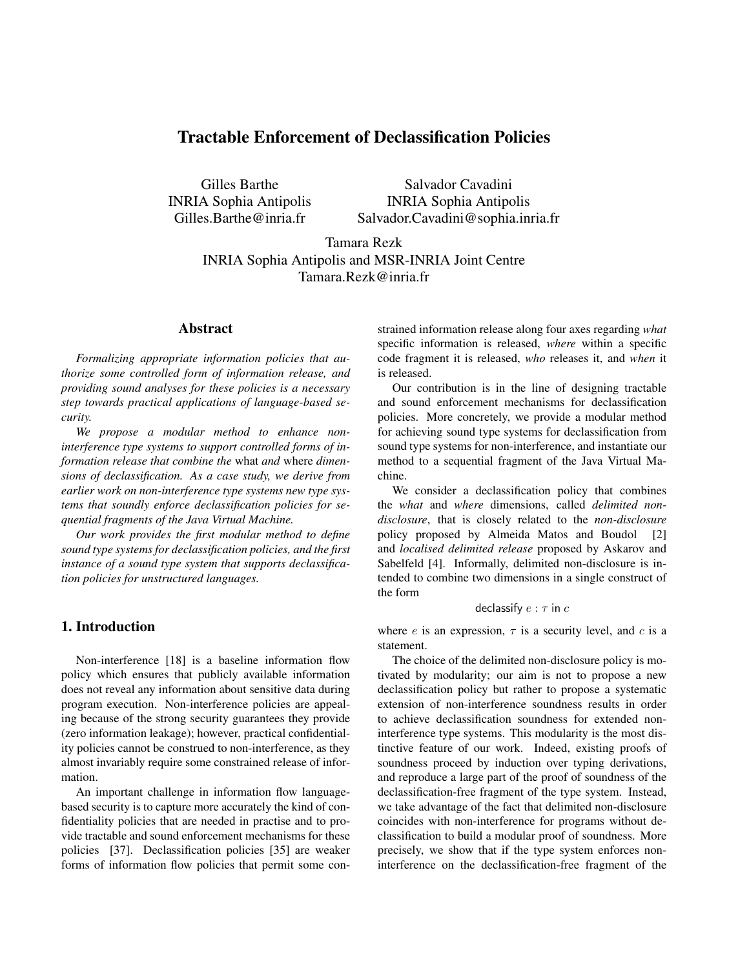# Tractable Enforcement of Declassification Policies

Gilles Barthe INRIA Sophia Antipolis Gilles.Barthe@inria.fr

Salvador Cavadini INRIA Sophia Antipolis Salvador.Cavadini@sophia.inria.fr

Tamara Rezk INRIA Sophia Antipolis and MSR-INRIA Joint Centre Tamara.Rezk@inria.fr

## Abstract

*Formalizing appropriate information policies that authorize some controlled form of information release, and providing sound analyses for these policies is a necessary step towards practical applications of language-based security.*

*We propose a modular method to enhance noninterference type systems to support controlled forms of information release that combine the* what *and* where *dimensions of declassification. As a case study, we derive from earlier work on non-interference type systems new type systems that soundly enforce declassification policies for sequential fragments of the Java Virtual Machine.*

*Our work provides the first modular method to define sound type systems for declassification policies, and the first instance of a sound type system that supports declassification policies for unstructured languages.*

## 1. Introduction

Non-interference [18] is a baseline information flow policy which ensures that publicly available information does not reveal any information about sensitive data during program execution. Non-interference policies are appealing because of the strong security guarantees they provide (zero information leakage); however, practical confidentiality policies cannot be construed to non-interference, as they almost invariably require some constrained release of information.

An important challenge in information flow languagebased security is to capture more accurately the kind of confidentiality policies that are needed in practise and to provide tractable and sound enforcement mechanisms for these policies [37]. Declassification policies [35] are weaker forms of information flow policies that permit some constrained information release along four axes regarding *what* specific information is released, *where* within a specific code fragment it is released, *who* releases it, and *when* it is released.

Our contribution is in the line of designing tractable and sound enforcement mechanisms for declassification policies. More concretely, we provide a modular method for achieving sound type systems for declassification from sound type systems for non-interference, and instantiate our method to a sequential fragment of the Java Virtual Machine.

We consider a declassification policy that combines the *what* and *where* dimensions, called *delimited nondisclosure*, that is closely related to the *non-disclosure* policy proposed by Almeida Matos and Boudol [2] and *localised delimited release* proposed by Askarov and Sabelfeld [4]. Informally, delimited non-disclosure is intended to combine two dimensions in a single construct of the form

$$
\mathsf{declassify}\ e : \tau \ \mathsf{in}\ c
$$

where  $e$  is an expression,  $\tau$  is a security level, and  $c$  is a statement.

The choice of the delimited non-disclosure policy is motivated by modularity; our aim is not to propose a new declassification policy but rather to propose a systematic extension of non-interference soundness results in order to achieve declassification soundness for extended noninterference type systems. This modularity is the most distinctive feature of our work. Indeed, existing proofs of soundness proceed by induction over typing derivations, and reproduce a large part of the proof of soundness of the declassification-free fragment of the type system. Instead, we take advantage of the fact that delimited non-disclosure coincides with non-interference for programs without declassification to build a modular proof of soundness. More precisely, we show that if the type system enforces noninterference on the declassification-free fragment of the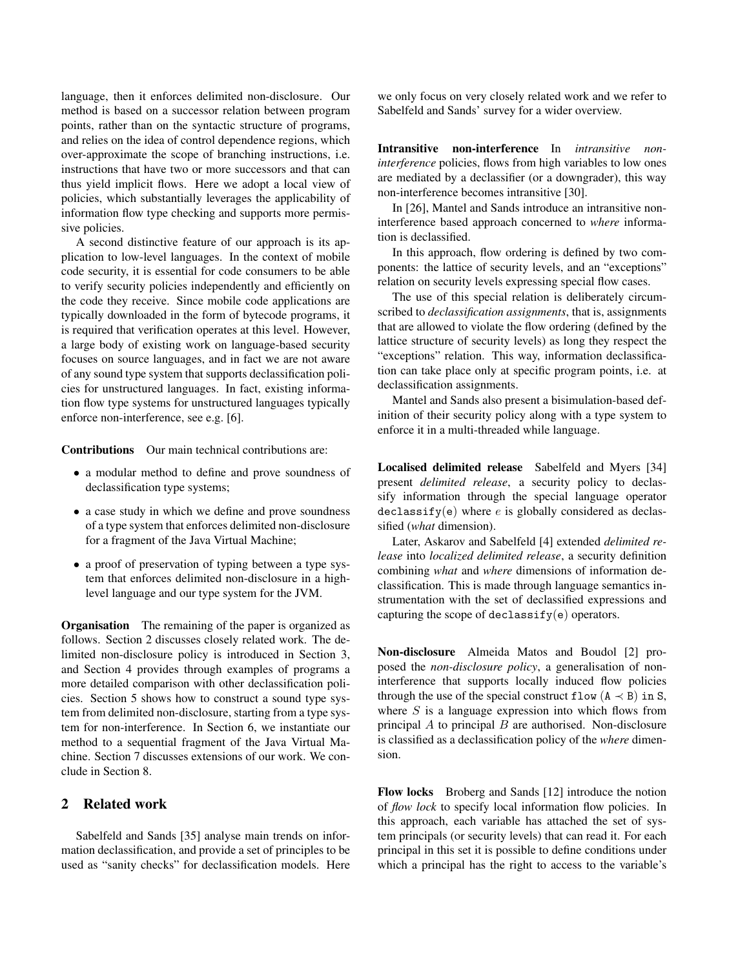language, then it enforces delimited non-disclosure. Our method is based on a successor relation between program points, rather than on the syntactic structure of programs, and relies on the idea of control dependence regions, which over-approximate the scope of branching instructions, i.e. instructions that have two or more successors and that can thus yield implicit flows. Here we adopt a local view of policies, which substantially leverages the applicability of information flow type checking and supports more permissive policies.

A second distinctive feature of our approach is its application to low-level languages. In the context of mobile code security, it is essential for code consumers to be able to verify security policies independently and efficiently on the code they receive. Since mobile code applications are typically downloaded in the form of bytecode programs, it is required that verification operates at this level. However, a large body of existing work on language-based security focuses on source languages, and in fact we are not aware of any sound type system that supports declassification policies for unstructured languages. In fact, existing information flow type systems for unstructured languages typically enforce non-interference, see e.g. [6].

Contributions Our main technical contributions are:

- a modular method to define and prove soundness of declassification type systems;
- a case study in which we define and prove soundness of a type system that enforces delimited non-disclosure for a fragment of the Java Virtual Machine;
- a proof of preservation of typing between a type system that enforces delimited non-disclosure in a highlevel language and our type system for the JVM.

Organisation The remaining of the paper is organized as follows. Section 2 discusses closely related work. The delimited non-disclosure policy is introduced in Section 3, and Section 4 provides through examples of programs a more detailed comparison with other declassification policies. Section 5 shows how to construct a sound type system from delimited non-disclosure, starting from a type system for non-interference. In Section 6, we instantiate our method to a sequential fragment of the Java Virtual Machine. Section 7 discusses extensions of our work. We conclude in Section 8.

## 2 Related work

Sabelfeld and Sands [35] analyse main trends on information declassification, and provide a set of principles to be used as "sanity checks" for declassification models. Here we only focus on very closely related work and we refer to Sabelfeld and Sands' survey for a wider overview.

Intransitive non-interference In *intransitive noninterference* policies, flows from high variables to low ones are mediated by a declassifier (or a downgrader), this way non-interference becomes intransitive [30].

In [26], Mantel and Sands introduce an intransitive noninterference based approach concerned to *where* information is declassified.

In this approach, flow ordering is defined by two components: the lattice of security levels, and an "exceptions" relation on security levels expressing special flow cases.

The use of this special relation is deliberately circumscribed to *declassification assignments*, that is, assignments that are allowed to violate the flow ordering (defined by the lattice structure of security levels) as long they respect the "exceptions" relation. This way, information declassification can take place only at specific program points, i.e. at declassification assignments.

Mantel and Sands also present a bisimulation-based definition of their security policy along with a type system to enforce it in a multi-threaded while language.

Localised delimited release Sabelfeld and Myers [34] present *delimited release*, a security policy to declassify information through the special language operator  $declassify(e)$  where  $e$  is globally considered as declassified (*what* dimension).

Later, Askarov and Sabelfeld [4] extended *delimited release* into *localized delimited release*, a security definition combining *what* and *where* dimensions of information declassification. This is made through language semantics instrumentation with the set of declassified expressions and capturing the scope of declassify $(e)$  operators.

Non-disclosure Almeida Matos and Boudol [2] proposed the *non-disclosure policy*, a generalisation of noninterference that supports locally induced flow policies through the use of the special construct flow  $(A \prec B)$  in S, where  $S$  is a language expression into which flows from principal  $A$  to principal  $B$  are authorised. Non-disclosure is classified as a declassification policy of the *where* dimension.

Flow locks Broberg and Sands [12] introduce the notion of *flow lock* to specify local information flow policies. In this approach, each variable has attached the set of system principals (or security levels) that can read it. For each principal in this set it is possible to define conditions under which a principal has the right to access to the variable's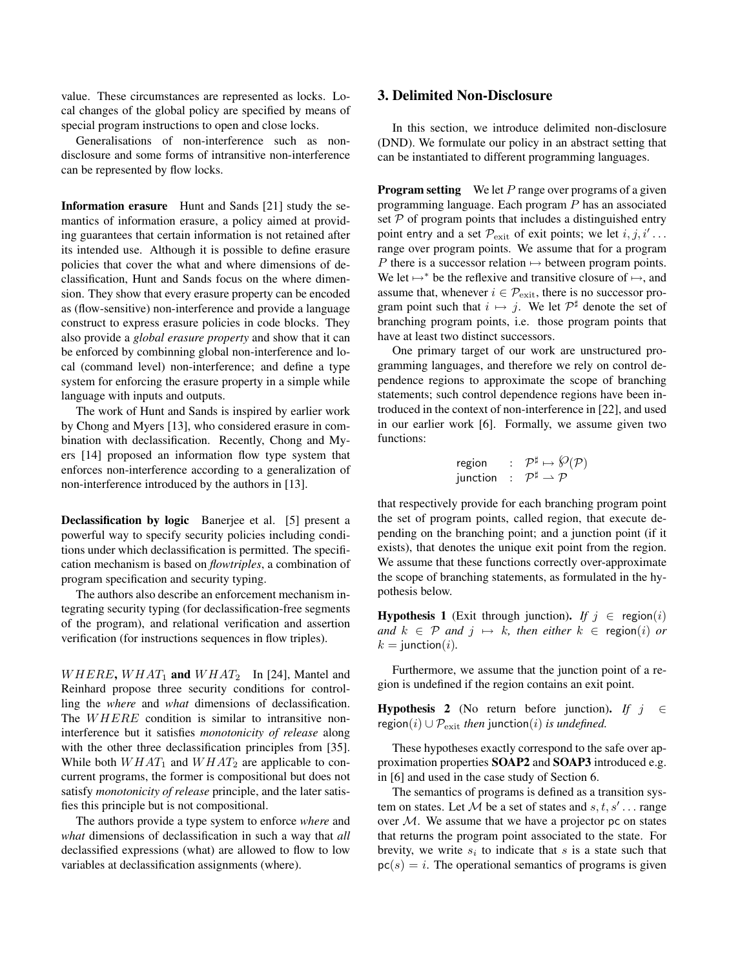value. These circumstances are represented as locks. Local changes of the global policy are specified by means of special program instructions to open and close locks.

Generalisations of non-interference such as nondisclosure and some forms of intransitive non-interference can be represented by flow locks.

Information erasure Hunt and Sands [21] study the semantics of information erasure, a policy aimed at providing guarantees that certain information is not retained after its intended use. Although it is possible to define erasure policies that cover the what and where dimensions of declassification, Hunt and Sands focus on the where dimension. They show that every erasure property can be encoded as (flow-sensitive) non-interference and provide a language construct to express erasure policies in code blocks. They also provide a *global erasure property* and show that it can be enforced by combinning global non-interference and local (command level) non-interference; and define a type system for enforcing the erasure property in a simple while language with inputs and outputs.

The work of Hunt and Sands is inspired by earlier work by Chong and Myers [13], who considered erasure in combination with declassification. Recently, Chong and Myers [14] proposed an information flow type system that enforces non-interference according to a generalization of non-interference introduced by the authors in [13].

Declassification by logic Banerjee et al. [5] present a powerful way to specify security policies including conditions under which declassification is permitted. The specification mechanism is based on *flowtriples*, a combination of program specification and security typing.

The authors also describe an enforcement mechanism integrating security typing (for declassification-free segments of the program), and relational verification and assertion verification (for instructions sequences in flow triples).

 $WHERE, WHAT<sub>1</sub>$  and  $WHAT<sub>2</sub>$  In [24], Mantel and Reinhard propose three security conditions for controlling the *where* and *what* dimensions of declassification. The WHERE condition is similar to intransitive noninterference but it satisfies *monotonicity of release* along with the other three declassification principles from [35]. While both  $WHAT_1$  and  $WHAT_2$  are applicable to concurrent programs, the former is compositional but does not satisfy *monotonicity of release* principle, and the later satisfies this principle but is not compositional.

The authors provide a type system to enforce *where* and *what* dimensions of declassification in such a way that *all* declassified expressions (what) are allowed to flow to low variables at declassification assignments (where).

## 3. Delimited Non-Disclosure

In this section, we introduce delimited non-disclosure (DND). We formulate our policy in an abstract setting that can be instantiated to different programming languages.

**Program setting** We let P range over programs of a given programming language. Each program P has an associated set  $P$  of program points that includes a distinguished entry point entry and a set  $\mathcal{P}_{\text{exit}}$  of exit points; we let  $i, j, i' \dots$ range over program points. We assume that for a program P there is a successor relation  $\mapsto$  between program points. We let  $\mapsto^*$  be the reflexive and transitive closure of  $\mapsto$ , and assume that, whenever  $i \in \mathcal{P}_{\text{exit}}$ , there is no successor program point such that  $i \mapsto j$ . We let  $\mathcal{P}^{\sharp}$  denote the set of branching program points, i.e. those program points that have at least two distinct successors.

One primary target of our work are unstructured programming languages, and therefore we rely on control dependence regions to approximate the scope of branching statements; such control dependence regions have been introduced in the context of non-interference in [22], and used in our earlier work [6]. Formally, we assume given two functions:

region : 
$$
\mathcal{P}^{\sharp} \mapsto \mathcal{P}(\mathcal{P})
$$
  
junction :  $\mathcal{P}^{\sharp} \rightarrow \mathcal{P}$ 

that respectively provide for each branching program point the set of program points, called region, that execute depending on the branching point; and a junction point (if it exists), that denotes the unique exit point from the region. We assume that these functions correctly over-approximate the scope of branching statements, as formulated in the hypothesis below.

**Hypothesis 1** (Exit through junction). *If*  $j \in \text{region}(i)$ *and*  $k \in \mathcal{P}$  *and*  $j \mapsto k$ *, then either*  $k \in \text{region}(i)$  *or*  $k =$  junction(*i*).

Furthermore, we assume that the junction point of a region is undefined if the region contains an exit point.

**Hypothesis 2** (No return before junction). *If*  $j \in \mathbb{C}$ region(i)  $\cup$   $\mathcal{P}_{\text{exit}}$  *then* junction(i) *is undefined.* 

These hypotheses exactly correspond to the safe over approximation properties SOAP2 and SOAP3 introduced e.g. in [6] and used in the case study of Section 6.

The semantics of programs is defined as a transition system on states. Let M be a set of states and  $s, t, s'$ ... range over  $M$ . We assume that we have a projector pc on states that returns the program point associated to the state. For brevity, we write  $s_i$  to indicate that s is a state such that  $pc(s) = i$ . The operational semantics of programs is given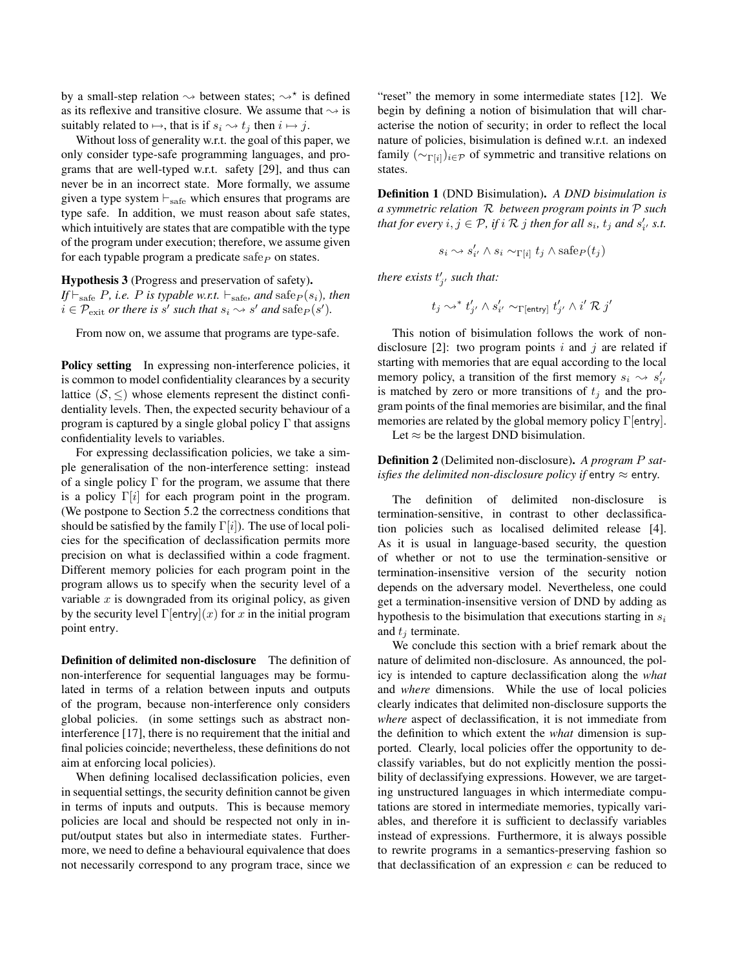by a small-step relation  $\rightsquigarrow$  between states;  $\rightsquigarrow^*$  is defined as its reflexive and transitive closure. We assume that  $\sim$  is suitably related to  $\mapsto$ , that is if  $s_i \rightsquigarrow t_j$  then  $i \mapsto j$ .

Without loss of generality w.r.t. the goal of this paper, we only consider type-safe programming languages, and programs that are well-typed w.r.t. safety [29], and thus can never be in an incorrect state. More formally, we assume given a type system  $\vdash_{\text{safe}}$  which ensures that programs are type safe. In addition, we must reason about safe states, which intuitively are states that are compatible with the type of the program under execution; therefore, we assume given for each typable program a predicate safe $_P$  on states.

Hypothesis 3 (Progress and preservation of safety).  $If \vdash_{\text{safe}} P$ *, i.e.* P *is typable w.r.t.*  $\vdash_{\text{safe}}$  *and* safe $_P(s_i)$ *, then*  $i \in \mathcal{P}_{\text{exit}}$  *or there is s' such that*  $s_i \leadsto s'$  *and*  $\text{safe}_P(s')$ *.* 

From now on, we assume that programs are type-safe.

Policy setting In expressing non-interference policies, it is common to model confidentiality clearances by a security lattice  $(S, \leq)$  whose elements represent the distinct confidentiality levels. Then, the expected security behaviour of a program is captured by a single global policy  $\Gamma$  that assigns confidentiality levels to variables.

For expressing declassification policies, we take a simple generalisation of the non-interference setting: instead of a single policy  $\Gamma$  for the program, we assume that there is a policy  $\Gamma[i]$  for each program point in the program. (We postpone to Section 5.2 the correctness conditions that should be satisfied by the family  $\Gamma[i]$ ). The use of local policies for the specification of declassification permits more precision on what is declassified within a code fragment. Different memory policies for each program point in the program allows us to specify when the security level of a variable  $x$  is downgraded from its original policy, as given by the security level  $\Gamma[\text{entry}](x)$  for x in the initial program point entry.

Definition of delimited non-disclosure The definition of non-interference for sequential languages may be formulated in terms of a relation between inputs and outputs of the program, because non-interference only considers global policies. (in some settings such as abstract noninterference [17], there is no requirement that the initial and final policies coincide; nevertheless, these definitions do not aim at enforcing local policies).

When defining localised declassification policies, even in sequential settings, the security definition cannot be given in terms of inputs and outputs. This is because memory policies are local and should be respected not only in input/output states but also in intermediate states. Furthermore, we need to define a behavioural equivalence that does not necessarily correspond to any program trace, since we "reset" the memory in some intermediate states [12]. We begin by defining a notion of bisimulation that will characterise the notion of security; in order to reflect the local nature of policies, bisimulation is defined w.r.t. an indexed family  $(\sim_{\Gamma[i]})_{i\in\mathcal{P}}$  of symmetric and transitive relations on states.

Definition 1 (DND Bisimulation). *A DND bisimulation is a symmetric relation* R *between program points in* P *such that for every*  $i, j \in \mathcal{P}$ , if  $i \mathcal{R} j$  *then for all*  $s_i$ ,  $t_j$  *and*  $s'_{i'}$  *s.t.* 

$$
s_i \sim s'_{i'} \wedge s_i \sim_{\Gamma[i]} t_j \wedge \text{safe}_P(t_j)
$$

*there exists*  $t'_{j'}$  *such that:* 

$$
t_j \leadsto^* t'_{j'} \land s'_{i'} \sim_{\Gamma[\text{entry}]} t'_{j'} \land i' \mathrel{\mathcal{R}} j'
$$

This notion of bisimulation follows the work of nondisclosure [2]: two program points i and j are related if starting with memories that are equal according to the local memory policy, a transition of the first memory  $s_i \leadsto s'_{i'}$ is matched by zero or more transitions of  $t_i$  and the program points of the final memories are bisimilar, and the final memories are related by the global memory policy  $\Gamma$ [entry].

Let  $\approx$  be the largest DND bisimulation.

Definition 2 (Delimited non-disclosure). *A program* P *satisfies the delimited non-disclosure policy if* entry  $\approx$  entry.

The definition of delimited non-disclosure is termination-sensitive, in contrast to other declassification policies such as localised delimited release [4]. As it is usual in language-based security, the question of whether or not to use the termination-sensitive or termination-insensitive version of the security notion depends on the adversary model. Nevertheless, one could get a termination-insensitive version of DND by adding as hypothesis to the bisimulation that executions starting in  $s_i$ and  $t_i$  terminate.

We conclude this section with a brief remark about the nature of delimited non-disclosure. As announced, the policy is intended to capture declassification along the *what* and *where* dimensions. While the use of local policies clearly indicates that delimited non-disclosure supports the *where* aspect of declassification, it is not immediate from the definition to which extent the *what* dimension is supported. Clearly, local policies offer the opportunity to declassify variables, but do not explicitly mention the possibility of declassifying expressions. However, we are targeting unstructured languages in which intermediate computations are stored in intermediate memories, typically variables, and therefore it is sufficient to declassify variables instead of expressions. Furthermore, it is always possible to rewrite programs in a semantics-preserving fashion so that declassification of an expression  $e$  can be reduced to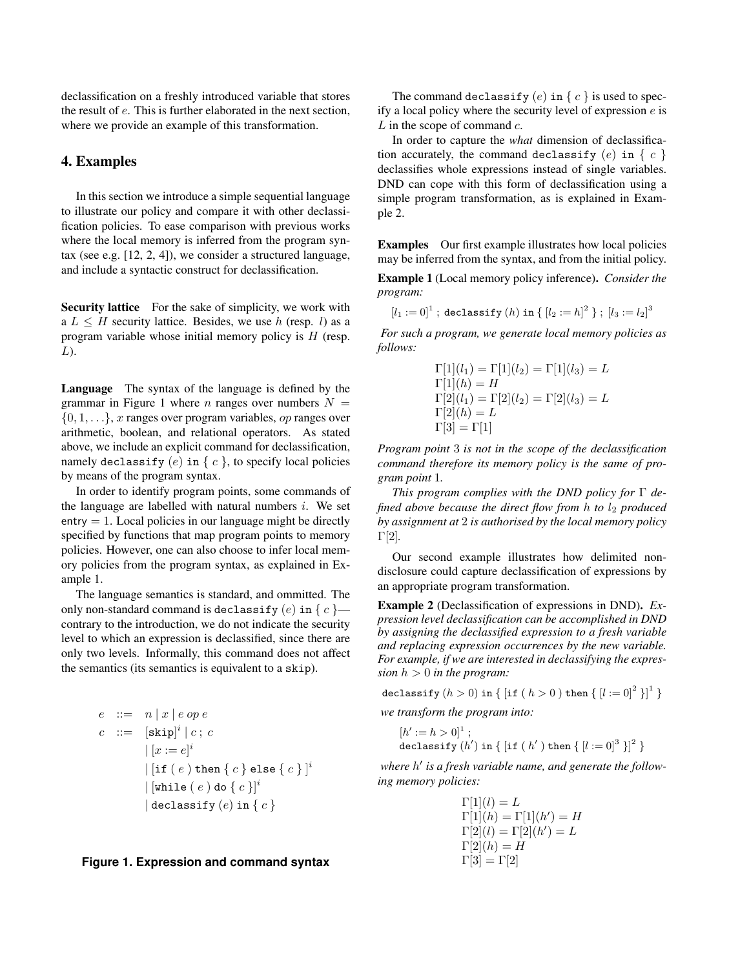declassification on a freshly introduced variable that stores the result of e. This is further elaborated in the next section, where we provide an example of this transformation.

## 4. Examples

In this section we introduce a simple sequential language to illustrate our policy and compare it with other declassification policies. To ease comparison with previous works where the local memory is inferred from the program syntax (see e.g. [12, 2, 4]), we consider a structured language, and include a syntactic construct for declassification.

Security lattice For the sake of simplicity, we work with a  $L \leq H$  security lattice. Besides, we use h (resp. l) as a program variable whose initial memory policy is H (resp.  $L$ ).

Language The syntax of the language is defined by the grammar in Figure 1 where *n* ranges over numbers  $N =$  $\{0, 1, \ldots\}$ , x ranges over program variables, *op* ranges over arithmetic, boolean, and relational operators. As stated above, we include an explicit command for declassification, namely declassify  $(e)$  in  $\{c\}$ , to specify local policies by means of the program syntax.

In order to identify program points, some commands of the language are labelled with natural numbers  $i$ . We set  $entry = 1$ . Local policies in our language might be directly specified by functions that map program points to memory policies. However, one can also choose to infer local memory policies from the program syntax, as explained in Example 1.

The language semantics is standard, and ommitted. The only non-standard command is declassify  $(e)$  in  $\{c\}$  contrary to the introduction, we do not indicate the security level to which an expression is declassified, since there are only two levels. Informally, this command does not affect the semantics (its semantics is equivalent to a skip).

$$
e ::= n | x | e \text{ op } e
$$
  
\n
$$
c ::= [skip]^{i} | c; c
$$
  
\n
$$
| [x := e]^{i}
$$
  
\n
$$
| [if (e) then {c} else {c} ]^{i}
$$
  
\n
$$
| [while (e) do {c} ]^{i}
$$
  
\n
$$
| \text{declassify} (e) in {c}
$$

### **Figure 1. Expression and command syntax**

The command declassify  $(e)$  in  $\{c\}$  is used to specify a local policy where the security level of expression  $e$  is  $L$  in the scope of command  $c$ .

In order to capture the *what* dimension of declassification accurately, the command declassify  $(e)$  in  $\{c\}$ declassifies whole expressions instead of single variables. DND can cope with this form of declassification using a simple program transformation, as is explained in Example 2.

Examples Our first example illustrates how local policies may be inferred from the syntax, and from the initial policy.

Example 1 (Local memory policy inference). *Consider the program:*

 $[l_1:=0]^1\ ;$  declassify  $(h)$  in  $\{\,[l_2:=h]^2\;\}\ ;\ [l_3:=l_2]^3$ 

*For such a program, we generate local memory policies as follows:*

$$
\Gamma[1](l_1) = \Gamma[1](l_2) = \Gamma[1](l_3) = L
$$
  
\n
$$
\Gamma[1](h) = H
$$
  
\n
$$
\Gamma[2](l_1) = \Gamma[2](l_2) = \Gamma[2](l_3) = L
$$
  
\n
$$
\Gamma[2](h) = L
$$
  
\n
$$
\Gamma[3] = \Gamma[1]
$$

*Program point* 3 *is not in the scope of the declassification command therefore its memory policy is the same of program point* 1*.*

*This program complies with the DND policy for* Γ *defined above because the direct flow from h to*  $l_2$  *produced by assignment at* 2 *is authorised by the local memory policy* Γ[2]*.*

Our second example illustrates how delimited nondisclosure could capture declassification of expressions by an appropriate program transformation.

Example 2 (Declassification of expressions in DND). *Expression level declassification can be accomplished in DND by assigning the declassified expression to a fresh variable and replacing expression occurrences by the new variable. For example, if we are interested in declassifying the expression*  $h > 0$  *in the program:* 

declassify  $(h>0)$  in  $\{[\text{if}~(h>0)~\text{then}~\{~[l:=0]^2~\}]^1~\}$ 

*we transform the program into:*

$$
[h' := h > 0]^1 ;
$$
  
declassify  $(h')$  in { [if  $(h')$  then { [l := 0]<sup>3</sup> }]<sup>2</sup> }

where h<sup>'</sup> is a fresh variable name, and generate the follow*ing memory policies:*

$$
\Gamma[1](l) = L \n\Gamma[1](h) = \Gamma[1](h') = H \n\Gamma[2](l) = \Gamma[2](h') = L \n\Gamma[2](h) = H \n\Gamma[3] = \Gamma[2]
$$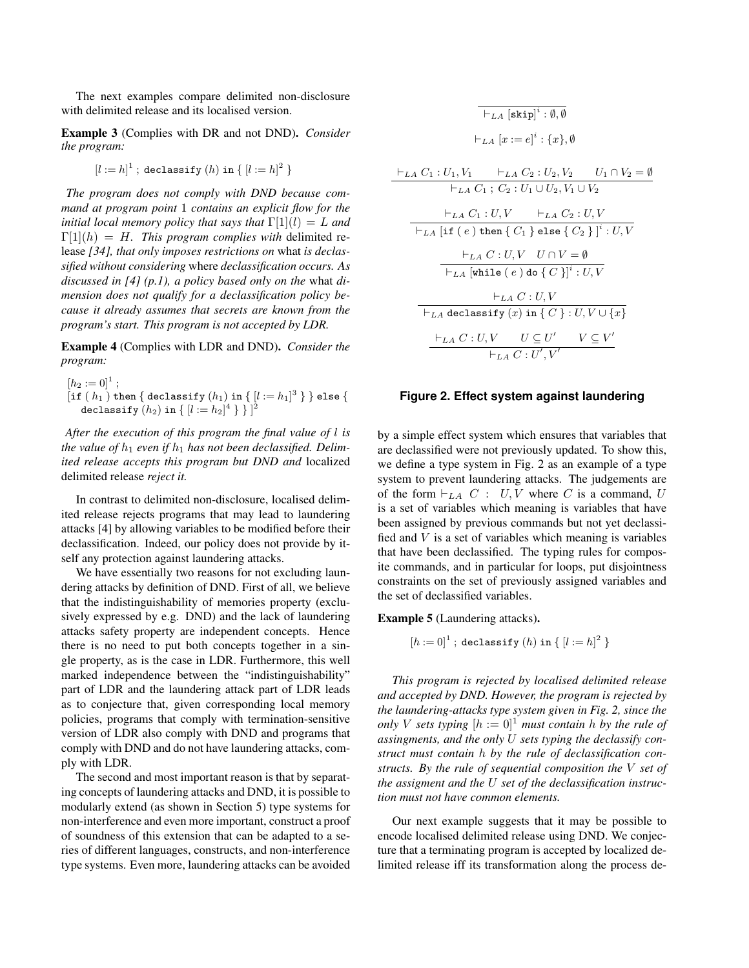The next examples compare delimited non-disclosure with delimited release and its localised version.

Example 3 (Complies with DR and not DND). *Consider the program:*

$$
\left[l := h\right]^1; \, \texttt{declassify}\,(h) \, \texttt{in}\, \{\left[l := h\right]^2\,\}
$$

*The program does not comply with DND because command at program point* 1 *contains an explicit flow for the initial local memory policy that says that*  $\Gamma[1](l) = L$  *and*  $\Gamma[1](h) = H$ . This program complies with delimited release *[34], that only imposes restrictions on* what *is declassified without considering* where *declassification occurs. As discussed in [4] (p.1), a policy based only on the* what *dimension does not qualify for a declassification policy because it already assumes that secrets are known from the program's start. This program is not accepted by LDR.*

Example 4 (Complies with LDR and DND). *Consider the program:*

 $[h_2 := 0]^1;$  $\left[\texttt{if}\ \right(h_1\ \texttt{) then}\ \left\{\texttt{declassify}\ (h_1)\ \texttt{in}\ \left\{\ \left[l:=h_1\right]^3\ \right\}\ \texttt{else}\ \left\{\ \texttt{coker}\ \right\}$ declassify  $(h_2)$  in  $\set{[l:=h_2]^4}$   $]$   $]^2$ 

*After the execution of this program the final value of* l *is the value of*  $h_1$  *even if*  $h_1$  *has not been declassified. Delimited release accepts this program but DND and* localized delimited release *reject it.*

In contrast to delimited non-disclosure, localised delimited release rejects programs that may lead to laundering attacks [4] by allowing variables to be modified before their declassification. Indeed, our policy does not provide by itself any protection against laundering attacks.

We have essentially two reasons for not excluding laundering attacks by definition of DND. First of all, we believe that the indistinguishability of memories property (exclusively expressed by e.g. DND) and the lack of laundering attacks safety property are independent concepts. Hence there is no need to put both concepts together in a single property, as is the case in LDR. Furthermore, this well marked independence between the "indistinguishability" part of LDR and the laundering attack part of LDR leads as to conjecture that, given corresponding local memory policies, programs that comply with termination-sensitive version of LDR also comply with DND and programs that comply with DND and do not have laundering attacks, comply with LDR.

The second and most important reason is that by separating concepts of laundering attacks and DND, it is possible to modularly extend (as shown in Section 5) type systems for non-interference and even more important, construct a proof of soundness of this extension that can be adapted to a series of different languages, constructs, and non-interference type systems. Even more, laundering attacks can be avoided

$$
F_{LA} [\text{skip}]^{i} : \emptyset, \emptyset
$$
\n
$$
F_{LA} [x := e]^{i} : \{x\}, \emptyset
$$
\n
$$
F_{LA} C_{1} : U_{1}, V_{1} \qquad F_{LA} C_{2} : U_{2}, V_{2} \qquad U_{1} \cap V_{2} = \emptyset
$$
\n
$$
F_{LA} C_{1} : C_{2} : U_{1} \cup U_{2}, V_{1} \cup V_{2}
$$
\n
$$
F_{LA} [\text{if} (e) \text{ then } \{C_{1}\} \text{ else } \{C_{2}\}]^{i} : U, V
$$
\n
$$
F_{LA} [x \text{ while } (e) \text{ do } \{C\}]^{i} : U, V
$$
\n
$$
F_{LA} [\text{while} (e) \text{ do } \{C\}]^{i} : U, V
$$
\n
$$
F_{LA} \text{ declaresify} (x) \text{ in } \{C\} : U, V \cup \{x\}
$$
\n
$$
F_{LA} C : U, V \qquad U \subseteq U' \qquad V \subseteq V'
$$
\n
$$
F_{LA} C : U, V \qquad U \subseteq U' \qquad V \subseteq V'
$$

#### **Figure 2. Effect system against laundering**

by a simple effect system which ensures that variables that are declassified were not previously updated. To show this, we define a type system in Fig. 2 as an example of a type system to prevent laundering attacks. The judgements are of the form  $\vdash_{LA} C : U, V$  where C is a command, U is a set of variables which meaning is variables that have been assigned by previous commands but not yet declassified and  $V$  is a set of variables which meaning is variables that have been declassified. The typing rules for composite commands, and in particular for loops, put disjointness constraints on the set of previously assigned variables and the set of declassified variables.

Example 5 (Laundering attacks).

 $[h := 0]^1$ ; declassify  $(h)$  in  $\{ [l := h]^2 \}$ 

*This program is rejected by localised delimited release and accepted by DND. However, the program is rejected by the laundering-attacks type system given in Fig. 2, since the only V sets typing*  $[h := 0]^1$  *must contain h by the rule of assingments, and the only* U *sets typing the declassify construct must contain* h *by the rule of declassification constructs. By the rule of sequential composition the* V *set of the assigment and the* U *set of the declassification instruction must not have common elements.*

Our next example suggests that it may be possible to encode localised delimited release using DND. We conjecture that a terminating program is accepted by localized delimited release iff its transformation along the process de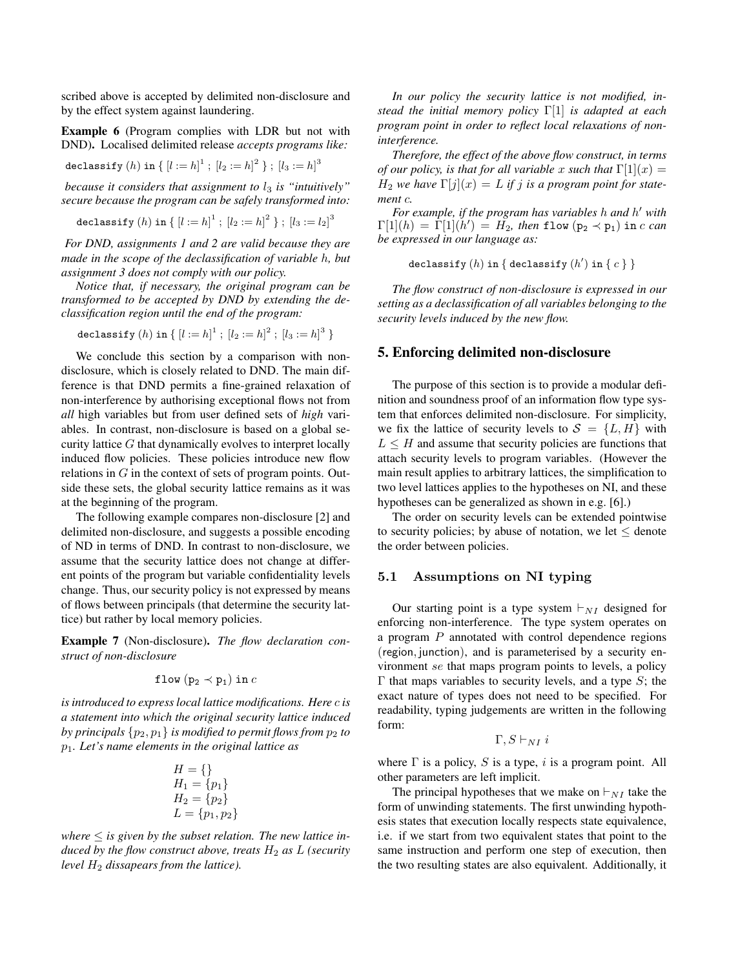scribed above is accepted by delimited non-disclosure and by the effect system against laundering.

Example 6 (Program complies with LDR but not with DND). Localised delimited release *accepts programs like:*

 $\mathtt{declassify}\ (h) \ \mathtt{in} \ \{\ [l := h]^1\ ;\ [l_2 := h]^2\ \} \ ; \ [l_3 := h]^3$ 

*because it considers that assignment to*  $l_3$  *is "intuitively" secure because the program can be safely transformed into:*

 $\mathtt{declassify}\ (h) \ \mathtt{in} \ \{\ [l := h]^1\ ;\ [l_2 := h]^2\ \} \ ; \ [l_3 := l_2]^3$ 

*For DND, assignments 1 and 2 are valid because they are made in the scope of the declassification of variable* h*, but assignment 3 does not comply with our policy.*

*Notice that, if necessary, the original program can be transformed to be accepted by DND by extending the declassification region until the end of the program:*

 $\mathtt{declassify}\ (h) \ \mathtt{in} \ \{\ [l := h]^1\ ; \ [l_2 := h]^2\ ; \ [l_3 := h]^3\ \}$ 

We conclude this section by a comparison with nondisclosure, which is closely related to DND. The main difference is that DND permits a fine-grained relaxation of non-interference by authorising exceptional flows not from *all* high variables but from user defined sets of *high* variables. In contrast, non-disclosure is based on a global security lattice  $G$  that dynamically evolves to interpret locally induced flow policies. These policies introduce new flow relations in  $G$  in the context of sets of program points. Outside these sets, the global security lattice remains as it was at the beginning of the program.

The following example compares non-disclosure [2] and delimited non-disclosure, and suggests a possible encoding of ND in terms of DND. In contrast to non-disclosure, we assume that the security lattice does not change at different points of the program but variable confidentiality levels change. Thus, our security policy is not expressed by means of flows between principals (that determine the security lattice) but rather by local memory policies.

Example 7 (Non-disclosure). *The flow declaration construct of non-disclosure*

$$
\mathtt{flow}\,(\mathtt{p}_2 \prec \mathtt{p}_1) \mathtt{in}\, c
$$

*is introduced to express local lattice modifications. Here* c *is a statement into which the original security lattice induced by principals*  $\{p_2, p_1\}$  *is modified to permit flows from*  $p_2$  *to* p1*. Let's name elements in the original lattice as*

$$
H = \{\}H_1 = \{p_1\}H_2 = \{p_2\}L = \{p_1, p_2\}
$$

where  $\leq$  *is given by the subset relation. The new lattice induced by the flow construct above, treats*  $H_2$  *as*  $L$  *(security level*  $H_2$  *dissapears from the lattice*).

*In our policy the security lattice is not modified, instead the initial memory policy* Γ[1] *is adapted at each program point in order to reflect local relaxations of noninterference.*

*Therefore, the effect of the above flow construct, in terms of our policy, is that for all variable* x *such that*  $\Gamma[1](x) =$  $H_2$  *we have*  $\Gamma[j](x) = L$  *if j is a program point for statement* c*.*

*For example, if the program has variables* h *and* h <sup>0</sup> *with*  $\Gamma[1](h) = \hat{\Gamma}[1](h') = \tilde{H_2}$ , then flow  $(\mathtt{p_2 \prec p_1})$  in  $c$  can *be expressed in our language as:*

$$
\mathtt{declassify}\left(h\right) \mathtt{in}\left\{\texttt{declassify}\left(h'\right) \mathtt{in}\left\{\,c\,\right\}\,\right\}
$$

*The flow construct of non-disclosure is expressed in our setting as a declassification of all variables belonging to the security levels induced by the new flow.*

### 5. Enforcing delimited non-disclosure

The purpose of this section is to provide a modular definition and soundness proof of an information flow type system that enforces delimited non-disclosure. For simplicity, we fix the lattice of security levels to  $S = \{L, H\}$  with  $L \leq H$  and assume that security policies are functions that attach security levels to program variables. (However the main result applies to arbitrary lattices, the simplification to two level lattices applies to the hypotheses on NI, and these hypotheses can be generalized as shown in e.g. [6].)

The order on security levels can be extended pointwise to security policies; by abuse of notation, we let  $\leq$  denote the order between policies.

### 5.1 Assumptions on NI typing

Our starting point is a type system  $\vdash_{NI}$  designed for enforcing non-interference. The type system operates on a program P annotated with control dependence regions (region, junction), and is parameterised by a security environment se that maps program points to levels, a policy  $Γ$  that maps variables to security levels, and a type  $S$ ; the exact nature of types does not need to be specified. For readability, typing judgements are written in the following form:

$$
\Gamma, S \vdash_{NI} i
$$

where  $\Gamma$  is a policy, S is a type, i is a program point. All other parameters are left implicit.

The principal hypotheses that we make on  $\vdash_{NI}$  take the form of unwinding statements. The first unwinding hypothesis states that execution locally respects state equivalence, i.e. if we start from two equivalent states that point to the same instruction and perform one step of execution, then the two resulting states are also equivalent. Additionally, it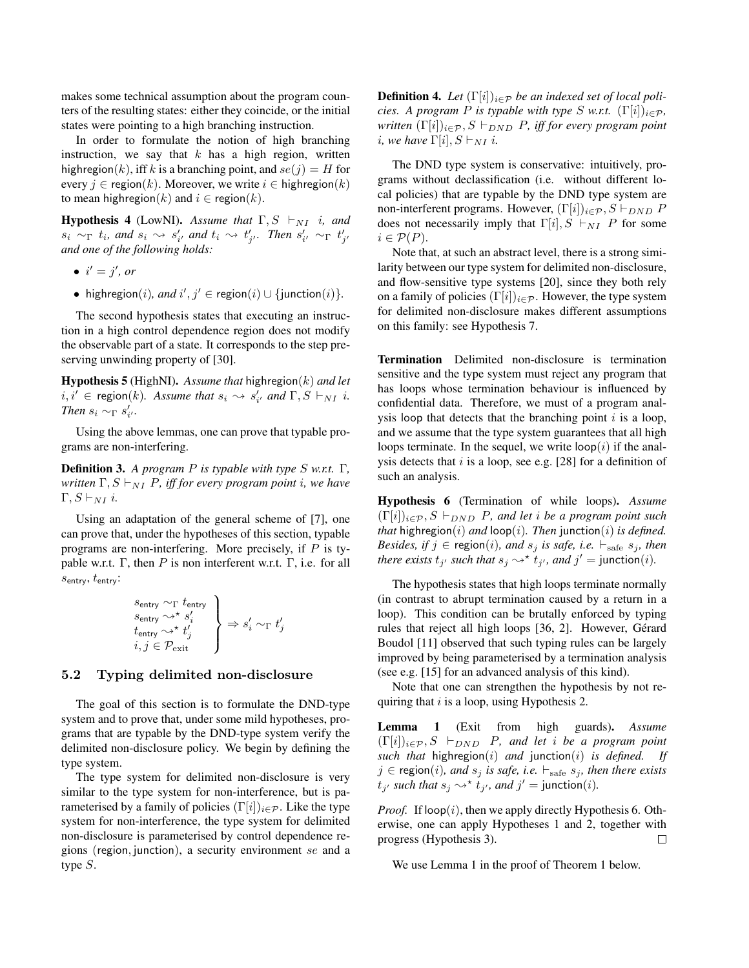makes some technical assumption about the program counters of the resulting states: either they coincide, or the initial states were pointing to a high branching instruction.

In order to formulate the notion of high branching instruction, we say that  $k$  has a high region, written highregion(k), iff k is a branching point, and  $se(j) = H$  for every  $j \in \text{region}(k)$ . Moreover, we write  $i \in \text{highregion}(k)$ to mean highregion(k) and  $i \in \text{region}(k)$ .

**Hypothesis 4** (LowNI). Assume that  $\Gamma, S \vdash_{NI} i$ , and  $s_i \sim_{\Gamma} t_i$ , and  $s_i \sim s'_{i'}$  and  $t_i \sim t'_{j'}$ . Then  $s'_{i'} \sim_{\Gamma} t'_{j'}$ *and one of the following holds:*

- $i' = j'$ , or
- highregion(*i*), and  $i', j' \in \text{region}(i) \cup \{\text{junction}(i)\}.$

The second hypothesis states that executing an instruction in a high control dependence region does not modify the observable part of a state. It corresponds to the step preserving unwinding property of [30].

Hypothesis 5 (HighNI). *Assume that* highregion(k) *and let*  $i, i' \in \text{region}(k)$ *. Assume that*  $s_i \leadsto s'_{i'}$  and  $\Gamma, S \vdash_{NI} i$ *. Then*  $s_i \sim_\Gamma s'_{i'}$ .

Using the above lemmas, one can prove that typable programs are non-interfering.

Definition 3. *A program* P *is typable with type* S *w.r.t.* Γ*, written*  $\Gamma, S \vdash_{NI} P$ *, iff for every program point i, we have*  $Γ, S ⊢<sub>NI</sub> i.$ 

Using an adaptation of the general scheme of [7], one can prove that, under the hypotheses of this section, typable programs are non-interfering. More precisely, if  $P$  is typable w.r.t.  $\Gamma$ , then P is non interferent w.r.t.  $\Gamma$ , i.e. for all  $s_{\text{entry}}, t_{\text{entry}}$ :

$$
\left.\begin{array}{l} s_{\text{entry}} \sim_\Gamma t_{\text{entry}} \\ s_{\text{entry}} \sim^\star s'_i \\ t_{\text{entry}} \sim^\star t'_j \\ i,j \in \mathcal{P}_{\text{exit}} \end{array}\right\} \Rightarrow s'_i \sim_\Gamma t'_j
$$

#### 5.2 Typing delimited non-disclosure

The goal of this section is to formulate the DND-type system and to prove that, under some mild hypotheses, programs that are typable by the DND-type system verify the delimited non-disclosure policy. We begin by defining the type system.

The type system for delimited non-disclosure is very similar to the type system for non-interference, but is parameterised by a family of policies  $(\Gamma[i])_{i \in \mathcal{P}}$ . Like the type system for non-interference, the type system for delimited non-disclosure is parameterised by control dependence regions (region, junction), a security environment se and a type S.

**Definition 4.** Let  $(\Gamma[i])_{i \in \mathcal{P}}$  be an indexed set of local poli*cies.* A program P is typable with type S w.r.t.  $(\Gamma[i])_{i \in \mathcal{P}}$ *, written*  $(\Gamma[i])_{i \in \mathcal{P}}, S \vdash_{DND} P$ , *iff for every program point i*, we have  $\Gamma[i], S \vdash_{NI} i$ .

The DND type system is conservative: intuitively, programs without declassification (i.e. without different local policies) that are typable by the DND type system are non-interferent programs. However,  $(\Gamma[i])_{i \in \mathcal{P}}, S \vdash_{DND} P$ does not necessarily imply that  $\Gamma[i], S \vdash_{NI} P$  for some  $i \in \mathcal{P}(P)$ .

Note that, at such an abstract level, there is a strong similarity between our type system for delimited non-disclosure, and flow-sensitive type systems [20], since they both rely on a family of policies  $(\Gamma[i])_{i\in\mathcal{P}}$ . However, the type system for delimited non-disclosure makes different assumptions on this family: see Hypothesis 7.

Termination Delimited non-disclosure is termination sensitive and the type system must reject any program that has loops whose termination behaviour is influenced by confidential data. Therefore, we must of a program analysis loop that detects that the branching point  $i$  is a loop, and we assume that the type system guarantees that all high loops terminate. In the sequel, we write  $loop(i)$  if the analysis detects that  $i$  is a loop, see e.g. [28] for a definition of such an analysis.

Hypothesis 6 (Termination of while loops). *Assume*  $(\Gamma[i])_{i \in \mathcal{P}}, S \vdash_{DND} P$ , and let *i* be a program point such *that* highregion(i) *and* loop(i)*. Then* junction(i) *is defined. Besides, if*  $j \in \text{region}(i)$ *, and*  $s_j$  *is safe, i.e.*  $\vdash_{\text{safe}} s_j$ *, then there exists*  $t_{j'}$  *such that*  $s_j \leadsto^* t_{j'}$ *, and*  $j' =$  junction(*i*)*.* 

The hypothesis states that high loops terminate normally (in contrast to abrupt termination caused by a return in a loop). This condition can be brutally enforced by typing rules that reject all high loops [36, 2]. However, Gérard Boudol [11] observed that such typing rules can be largely improved by being parameterised by a termination analysis (see e.g. [15] for an advanced analysis of this kind).

Note that one can strengthen the hypothesis by not requiring that  $i$  is a loop, using Hypothesis 2.

Lemma 1 (Exit from high guards). *Assume*  $(\Gamma[i])_{i \in \mathcal{P}}, S \vdash_{DND} P$ , and let *i* be a program point *such that* highregion(i) *and* junction(i) *is defined. If*  $j$  ∈ region(*i*)*, and*  $s_j$  *is safe, i.e.*  $\vdash_{\text{safe}} s_j$ *, then there exists*  $t_{j'}$  such that  $s_j \leadsto^* \dot{t}_{j'}$ , and  $j' =$  junction(*i*).

*Proof.* If  $loop(i)$ , then we apply directly Hypothesis 6. Otherwise, one can apply Hypotheses 1 and 2, together with progress (Hypothesis 3).  $\Box$ 

We use Lemma 1 in the proof of Theorem 1 below.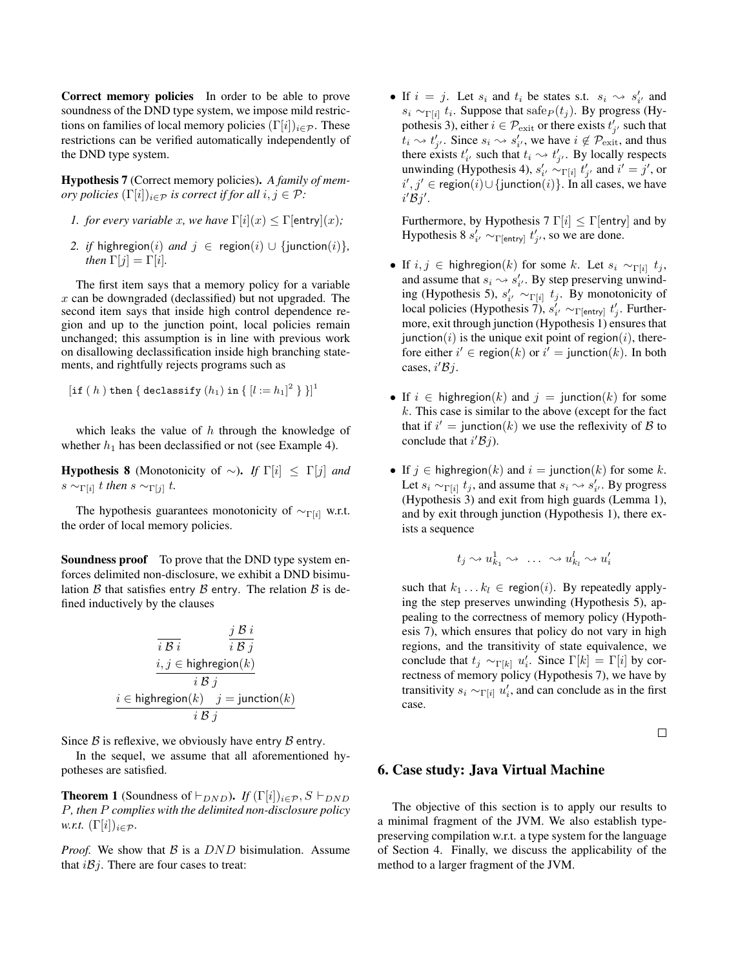Correct memory policies In order to be able to prove soundness of the DND type system, we impose mild restrictions on families of local memory policies  $(\Gamma[i])_{i\in\mathcal{P}}$ . These restrictions can be verified automatically independently of the DND type system.

Hypothesis 7 (Correct memory policies). *A family of memory policies*  $(\Gamma[i])_{i \in \mathcal{P}}$  *is correct if for all*  $i, j \in \mathcal{P}$ *:* 

- *1. for every variable x, we have*  $\Gamma[i](x) \leq \Gamma[\text{entry}](x)$ ;
- 2. *if* highregion(*i*) *and*  $j$  ∈ region(*i*) ∪ {junction(*i*)}*, then*  $\Gamma[j] = \Gamma[i]$ *.*

The first item says that a memory policy for a variable  $x$  can be downgraded (declassified) but not upgraded. The second item says that inside high control dependence region and up to the junction point, local policies remain unchanged; this assumption is in line with previous work on disallowing declassification inside high branching statements, and rightfully rejects programs such as

```
[\texttt{if}\ (\ h\ )\ \texttt{then}\ \{\ \texttt{declassify}\ (h_1)\ \texttt{in}\ \{\ [l:=h_1]^{2}\ \}\ \}]^1
```
which leaks the value of  $h$  through the knowledge of whether  $h_1$  has been declassified or not (see Example 4).

**Hypothesis 8** (Monotonicity of ∼). *If*  $\Gamma[i] \leq \Gamma[j]$  *and*  $s \sim_{\Gamma[i]} t$  *then*  $s \sim_{\Gamma[j]} t$ .

The hypothesis guarantees monotonicity of  $\sim_{\Gamma[i]}$  w.r.t. the order of local memory policies.

Soundness proof To prove that the DND type system enforces delimited non-disclosure, we exhibit a DND bisimulation  $\beta$  that satisfies entry  $\beta$  entry. The relation  $\beta$  is defined inductively by the clauses

$$
\frac{j}{i \ B \ i} \qquad \frac{j \ B \ i}{i \ B \ j}
$$
\n
$$
\frac{i, j \in \text{higheregion}(k)}{i \ B \ j}
$$
\n
$$
\frac{i \in \text{higheregion}(k) \quad j = \text{junction}(k)}{i \ B \ j}
$$

Since  $\beta$  is reflexive, we obviously have entry  $\beta$  entry.

In the sequel, we assume that all aforementioned hypotheses are satisfied.

**Theorem 1** (Soundness of  $\vdash_{DND}$ ). *If*  $(\Gamma[i])_{i\in\mathcal{P}}, S \vdash_{DND}$ P*, then* P *complies with the delimited non-disclosure policy w.r.t.*  $(\Gamma[i])_{i \in \mathcal{P}}$ *.* 

*Proof.* We show that  $\beta$  is a DND bisimulation. Assume that  $i\mathcal{B}j$ . There are four cases to treat:

• If  $i = j$ . Let  $s_i$  and  $t_i$  be states s.t.  $s_i \sim s'_{i'}$  and  $s_i \sim_{\Gamma[i]} t_i$ . Suppose that safe $_P(t_j)$ . By progress (Hypothesis 3), either  $i \in \mathcal{P}_{\text{exit}}$  or there exists  $t'_{j'}$  such that  $t_i \rightsquigarrow t'_{j'}$ . Since  $s_i \rightsquigarrow s'_{i'}$ , we have  $i \notin \mathcal{P}_{exit}$ , and thus there exists  $t'_{i'}$  such that  $t_i \leadsto t'_{j'}$ . By locally respects unwinding (Hypothesis 4),  $s'_{i'} \sim_{\Gamma[i]} t'_{j'}$  and  $i' = j'$ , or  $i', j' \in \text{region}(i) \cup \{$  junction $(i)$ }. In all cases, we have  $i'\mathcal{B}j'.$ 

Furthermore, by Hypothesis 7  $\Gamma[i] \leq \Gamma[\text{entry}]$  and by Hypothesis 8  $s'_{i'} \sim_{\Gamma[\text{entry}]} t'_{j'}$ , so we are done.

- If  $i, j \in$  highregion $(k)$  for some k. Let  $s_i \sim_{\Gamma[i]} t_j$ , and assume that  $s_i \leadsto s'_{i'}$ . By step preserving unwinding (Hypothesis 5),  $s'_{i'} \sim_{\Gamma[i]} t_j$ . By monotonicity of local policies (Hypothesis 7),  $s'_{i'} \sim_{\Gamma[\text{entry}]} t'_j$ . Furthermore, exit through junction (Hypothesis 1) ensures that junction(*i*) is the unique exit point of region(*i*), therefore either  $i' \in \text{region}(k)$  or  $i' = \text{junction}(k)$ . In both cases,  $i'\mathcal{B}j$ .
- If  $i \in$  highregion(k) and  $j =$  junction(k) for some  $k$ . This case is similar to the above (except for the fact that if  $i' =$  junction(k) we use the reflexivity of B to conclude that  $i'\mathcal{B}j$ ).
- If  $j \in$  highregion(k) and  $i =$  junction(k) for some k. Let  $s_i \sim_{\Gamma[i]} t_j$ , and assume that  $s_i \sim s'_{i'}$ . By progress (Hypothesis 3) and exit from high guards (Lemma 1), and by exit through junction (Hypothesis 1), there exists a sequence

$$
t_j \leadsto u_{k_1}^1 \leadsto \ \ldots \ \leadsto u_{k_l}^l \leadsto u_i'
$$

such that  $k_1 \ldots k_l \in \text{region}(i)$ . By repeatedly applying the step preserves unwinding (Hypothesis 5), appealing to the correctness of memory policy (Hypothesis 7), which ensures that policy do not vary in high regions, and the transitivity of state equivalence, we conclude that  $t_j \sim_{\Gamma[k]} u'_i$ . Since  $\Gamma[k] = \Gamma[i]$  by correctness of memory policy (Hypothesis 7), we have by transitivity  $s_i \sim_{\Gamma[i]} u'_i$ , and can conclude as in the first case.

 $\Box$ 

## 6. Case study: Java Virtual Machine

The objective of this section is to apply our results to a minimal fragment of the JVM. We also establish typepreserving compilation w.r.t. a type system for the language of Section 4. Finally, we discuss the applicability of the method to a larger fragment of the JVM.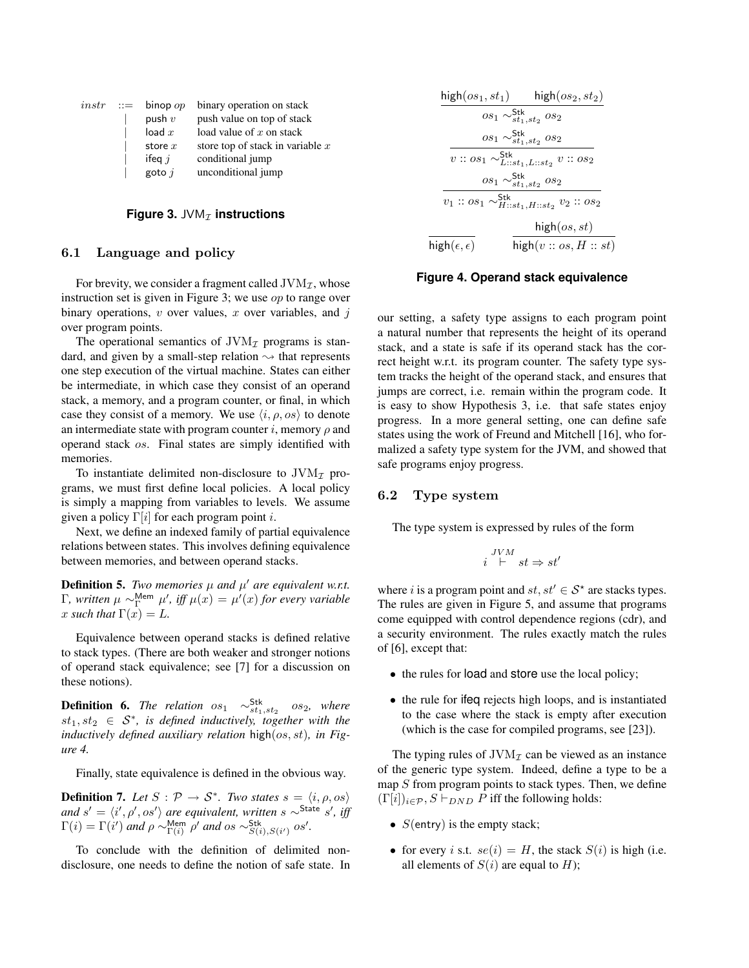|  | $instr ::= binop \, op$ | binary operation on stack          |
|--|-------------------------|------------------------------------|
|  | push $v$                | push value on top of stack         |
|  | load $x$                | load value of $x$ on stack         |
|  | store $x$               | store top of stack in variable $x$ |
|  | ifeg $i$                | conditional jump                   |
|  | $goto$ $i$              | unconditional jump                 |
|  |                         |                                    |

#### **Figure 3.** JVM<sub>I</sub> instructions

### 6.1 Language and policy

For brevity, we consider a fragment called  $JVM_{\mathcal{I}}$ , whose instruction set is given in Figure 3; we use op to range over binary operations,  $v$  over values,  $x$  over variables, and  $i$ over program points.

The operational semantics of  $JVM<sub>I</sub>$  programs is standard, and given by a small-step relation  $\rightsquigarrow$  that represents one step execution of the virtual machine. States can either be intermediate, in which case they consist of an operand stack, a memory, and a program counter, or final, in which case they consist of a memory. We use  $\langle i, \rho, \omega \rangle$  to denote an intermediate state with program counter i, memory  $\rho$  and operand stack os. Final states are simply identified with memories.

To instantiate delimited non-disclosure to  $JVM<sub>I</sub>$  programs, we must first define local policies. A local policy is simply a mapping from variables to levels. We assume given a policy  $\Gamma[i]$  for each program point *i*.

Next, we define an indexed family of partial equivalence relations between states. This involves defining equivalence between memories, and between operand stacks.

**Definition 5.** *Two memories*  $\mu$  *and*  $\mu'$  *are equivalent w.r.t.*  $Γ$ , written  $μ \sim_{\Gamma}^{\text{Mem}} μ'$ , iff  $μ(x) = μ'(x)$  for every variable x such that  $\Gamma(x) = L$ .

Equivalence between operand stacks is defined relative to stack types. (There are both weaker and stronger notions of operand stack equivalence; see [7] for a discussion on these notions).

**Definition 6.** *The relation*  $os_1 \sim s_{st_1, st_2}^{Stk}$   $os_2$ , where  $st_1, st_2 \in S^*$ , is defined inductively, together with the *inductively defined auxiliary relation* high(os, st)*, in Figure 4.*

Finally, state equivalence is defined in the obvious way.

**Definition 7.** Let  $S : \mathcal{P} \to \mathcal{S}^*$ . Two states  $s = \langle i, \rho, os \rangle$ and  $s' = \langle i', \rho', \textit{os}' \rangle$  are equivalent, written s  $\sim^{\text{State}} s'$ , iff  $\Gamma(i) = \Gamma(i')$  and  $\rho \sim_{\Gamma(i)}^{\text{Mem}} \rho'$  and  $os \sim_{S(i),S(i')}^{\text{Stk}} os'.$ 

To conclude with the definition of delimited nondisclosure, one needs to define the notion of safe state. In

| $high(os_1, st_1)$                                 | high $(os_2, st_2)$                                     |  |  |  |
|----------------------------------------------------|---------------------------------------------------------|--|--|--|
|                                                    | $os_1 \sim_{st_1, st_2}^{\mathsf{Stk}} os_2$            |  |  |  |
|                                                    | $os_1 \sim_{st_1, st_2}^{\mathsf{Stk}} os_2$            |  |  |  |
|                                                    | $v::os_1 \sim^{\mathsf{Stk}}_{L::st_1,L::st_2} v::os_2$ |  |  |  |
|                                                    | $os_1 \sim_{st_1, st_2}^{\mathsf{Stk}} os_2$            |  |  |  |
| $v_1::os_1 \sim^{Stk}_{H::st_1,H::st_2} v_2::os_2$ |                                                         |  |  |  |
|                                                    | high(os, st)                                            |  |  |  |
| $\mathsf{high}(\epsilon,\epsilon)$                 | ${\sf high}(v::os,H::st)$                               |  |  |  |

#### **Figure 4. Operand stack equivalence**

our setting, a safety type assigns to each program point a natural number that represents the height of its operand stack, and a state is safe if its operand stack has the correct height w.r.t. its program counter. The safety type system tracks the height of the operand stack, and ensures that jumps are correct, i.e. remain within the program code. It is easy to show Hypothesis 3, i.e. that safe states enjoy progress. In a more general setting, one can define safe states using the work of Freund and Mitchell [16], who formalized a safety type system for the JVM, and showed that safe programs enjoy progress.

### 6.2 Type system

The type system is expressed by rules of the form

$$
i \stackrel{JVM}{\vdash} st \Rightarrow st'
$$

where *i* is a program point and  $st$ ,  $st' \in S^*$  are stacks types. The rules are given in Figure 5, and assume that programs come equipped with control dependence regions (cdr), and a security environment. The rules exactly match the rules of [6], except that:

- the rules for load and store use the local policy;
- the rule for ifeq rejects high loops, and is instantiated to the case where the stack is empty after execution (which is the case for compiled programs, see [23]).

The typing rules of  $JVM<sub>I</sub>$  can be viewed as an instance of the generic type system. Indeed, define a type to be a map  $S$  from program points to stack types. Then, we define  $(\Gamma[i])_{i \in \mathcal{P}}, S \vdash_{DND} P$  iff the following holds:

- $S($ entry $)$  is the empty stack;
- for every i s.t.  $se(i) = H$ , the stack  $S(i)$  is high (i.e. all elements of  $S(i)$  are equal to H);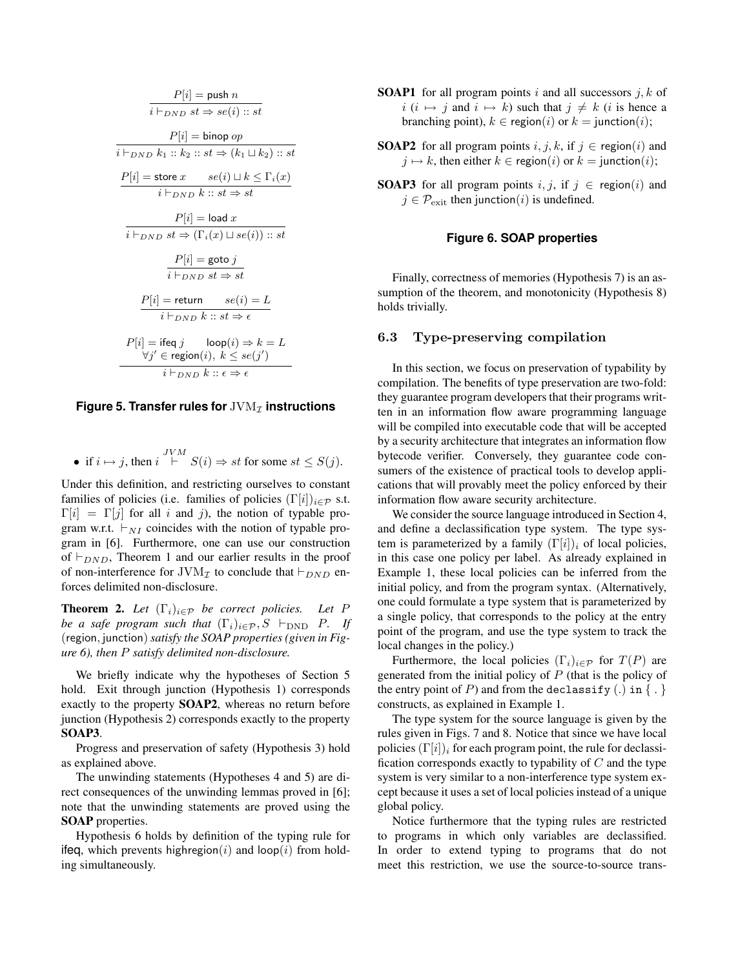$$
P[i] = \text{push } n
$$
\n
$$
\overline{i \vdash_{DND} st \Rightarrow se(i) :: st}
$$
\n
$$
P[i] = \text{binop } op
$$
\n
$$
\overline{i \vdash_{DND} k_1 :: k_2 :: st \Rightarrow (k_1 \sqcup k_2) :: st}
$$
\n
$$
\underline{P[i] = \text{store } x \qquad se(i) \sqcup k \leq \Gamma_i(x)}
$$
\n
$$
\overline{i \vdash_{DND} k :: st \Rightarrow st}
$$
\n
$$
\overline{P[i] = \text{load } x}
$$
\n
$$
\overline{i \vdash_{DND} st \Rightarrow (\Gamma_i(x) \sqcup se(i)) :: st}
$$
\n
$$
\underline{P[i] = \text{goto } j}
$$
\n
$$
\overline{i \vdash_{DND} st \Rightarrow st}
$$
\n
$$
\underline{P[i] = \text{return } se(i) = L}
$$
\n
$$
\overline{i \vdash_{DND} k :: st \Rightarrow \epsilon}
$$
\n
$$
P[i] = \text{ifeq } j \quad \text{loop}(i) \Rightarrow k = L
$$
\n
$$
\forall j' \in \text{region}(i), k \leq se(j')
$$
\n
$$
\overline{i \vdash_{DND} k :: \epsilon \Rightarrow \epsilon}
$$

#### **Figure 5. Transfer rules for**  $JVM<sub>I</sub>$  instructions

• if 
$$
i \mapsto j
$$
, then  $i \stackrel{JVM}{\vdash} S(i) \Rightarrow st$  for some  $st \leq S(j)$ .

Under this definition, and restricting ourselves to constant families of policies (i.e. families of policies  $(\Gamma[i])_{i\in\mathcal{P}}$  s.t.  $\Gamma[i] = \Gamma[j]$  for all i and j), the notion of typable program w.r.t.  $\vdash_{NI}$  coincides with the notion of typable program in [6]. Furthermore, one can use our construction of  $\vdash_{DND}$ , Theorem 1 and our earlier results in the proof of non-interference for  $JVM<sub>\mathcal{I}</sub>$  to conclude that  $\vdash_{DND}$  enforces delimited non-disclosure.

**Theorem 2.** Let  $(\Gamma_i)_{i \in \mathcal{P}}$  be correct policies. Let P *be a safe program such that*  $(\Gamma_i)_{i \in \mathcal{P}}, S \vdash_{\text{DND}} P$ *. If* (region, junction) *satisfy the SOAP properties (given in Figure 6), then* P *satisfy delimited non-disclosure.*

We briefly indicate why the hypotheses of Section 5 hold. Exit through junction (Hypothesis 1) corresponds exactly to the property SOAP2, whereas no return before junction (Hypothesis 2) corresponds exactly to the property SOAP3.

Progress and preservation of safety (Hypothesis 3) hold as explained above.

The unwinding statements (Hypotheses 4 and 5) are direct consequences of the unwinding lemmas proved in [6]; note that the unwinding statements are proved using the SOAP properties.

Hypothesis 6 holds by definition of the typing rule for ifeq, which prevents highregion(i) and loop(i) from holding simultaneously.

- **SOAP1** for all program points i and all successors  $j, k$  of  $i$  ( $i \mapsto j$  and  $i \mapsto k$ ) such that  $j \neq k$  (i is hence a branching point),  $k \in \text{region}(i)$  or  $k = \text{junction}(i)$ ;
- **SOAP2** for all program points  $i, j, k$ , if  $j \in \text{region}(i)$  and  $j \mapsto k$ , then either  $k \in \text{region}(i)$  or  $k = \text{junction}(i)$ ;
- **SOAP3** for all program points i, j, if  $j \in \text{region}(i)$  and  $j \in \mathcal{P}_{\text{exit}}$  then junction(i) is undefined.

#### **Figure 6. SOAP properties**

Finally, correctness of memories (Hypothesis 7) is an assumption of the theorem, and monotonicity (Hypothesis 8) holds trivially.

### 6.3 Type-preserving compilation

In this section, we focus on preservation of typability by compilation. The benefits of type preservation are two-fold: they guarantee program developers that their programs written in an information flow aware programming language will be compiled into executable code that will be accepted by a security architecture that integrates an information flow bytecode verifier. Conversely, they guarantee code consumers of the existence of practical tools to develop applications that will provably meet the policy enforced by their information flow aware security architecture.

We consider the source language introduced in Section 4, and define a declassification type system. The type system is parameterized by a family  $(\Gamma[i])_i$  of local policies, in this case one policy per label. As already explained in Example 1, these local policies can be inferred from the initial policy, and from the program syntax. (Alternatively, one could formulate a type system that is parameterized by a single policy, that corresponds to the policy at the entry point of the program, and use the type system to track the local changes in the policy.)

Furthermore, the local policies  $(\Gamma_i)_{i \in \mathcal{P}}$  for  $T(P)$  are generated from the initial policy of  $P$  (that is the policy of the entry point of P) and from the declassify (.) in  $\{ \cdot \}$ constructs, as explained in Example 1.

The type system for the source language is given by the rules given in Figs. 7 and 8. Notice that since we have local policies  $(\Gamma[i])_i$  for each program point, the rule for declassification corresponds exactly to typability of  $C$  and the type system is very similar to a non-interference type system except because it uses a set of local policies instead of a unique global policy.

Notice furthermore that the typing rules are restricted to programs in which only variables are declassified. In order to extend typing to programs that do not meet this restriction, we use the source-to-source trans-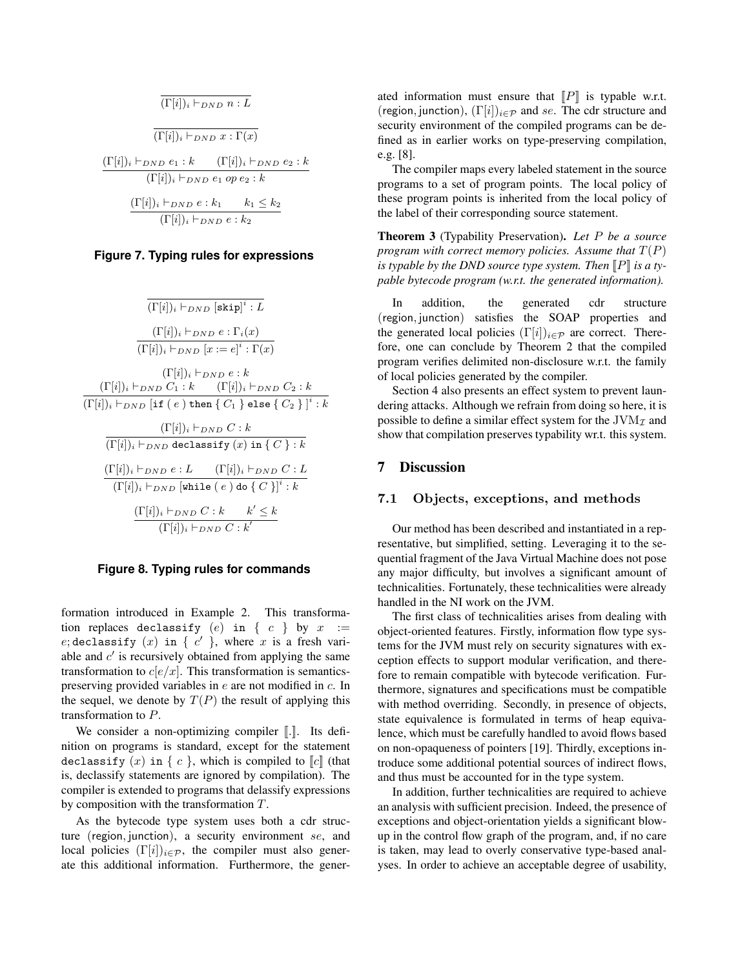$$
\frac{\overline{(\Gamma[i])_i \vdash_{DND} n : L}}{\overline{(\Gamma[i])_i \vdash_{DND} x : \Gamma(x)}}
$$
\n
$$
\frac{\overline{(\Gamma[i])_i \vdash_{DND} e_1 : k \qquad (\Gamma[i])_i \vdash_{DND} e_2 : k}}{\overline{(\Gamma[i])_i \vdash_{DND} e_1 \text{ op } e_2 : k}}
$$
\n
$$
\frac{\overline{(\Gamma[i])_i \vdash_{DND} e : k_1 \qquad k_1 \le k_2}}{\overline{(\Gamma[i])_i \vdash_{DND} e : k_2}}
$$

### **Figure 7. Typing rules for expressions**

$$
\frac{\overline{(\Gamma[i])_i \vdash_{DND} [\text{skip}]}^i : L}{(\Gamma[i])_i \vdash_{DND} e : \Gamma_i(x)}
$$
\n
$$
\frac{(\Gamma[i])_i \vdash_{DND} e : \Gamma_i(x)}{(\Gamma[i])_i \vdash_{DND} E : k} \frac{(\Gamma[i])_i \vdash_{DND} e : k}{(\Gamma[i])_i \vdash_{DND} C_1 : k} \frac{(\Gamma[i])_i \vdash_{DND} C_2 : k}{(\Gamma[i])_i \vdash_{DND} [\text{if } (e) \text{ then } \{C_1\} \text{ else } \{C_2\}]^i : k}
$$
\n
$$
\frac{(\Gamma[i])_i \vdash_{DND} e : L}{(\Gamma[i])_i \vdash_{DND} e : L} \frac{(\Gamma[i])_i \vdash_{DND} C : L}{(\Gamma[i])_i \vdash_{DND} [\text{while } (e) \text{ do } \{C\}]^i : k}
$$
\n
$$
\frac{(\Gamma[i])_i \vdash_{DND} C : k}{(\Gamma[i])_i \vdash_{DND} C : k} \frac{k' \leq k}{(\Gamma[i])_i \vdash_{DND} C : k'}
$$

#### **Figure 8. Typing rules for commands**

formation introduced in Example 2. This transformation replaces declassify (e) in {  $c$  } by  $x :=$ e; declassify  $(x)$  in  $\{c^{\prime}\}$ , where  $x$  is a fresh variable and  $c'$  is recursively obtained from applying the same transformation to  $c[e/x]$ . This transformation is semanticspreserving provided variables in e are not modified in c. In the sequel, we denote by  $T(P)$  the result of applying this transformation to P.

We consider a non-optimizing compiler  $[\![ . ]\!]$ . Its definition on programs is standard, except for the statement declassify  $(x)$  in  $\{c\}$ , which is compiled to  $\llbracket c \rrbracket$  (that is, declassify statements are ignored by compilation). The compiler is extended to programs that delassify expressions by composition with the transformation T.

As the bytecode type system uses both a cdr structure (region, junction), a security environment se, and local policies  $(\Gamma[i])_{i\in\mathcal{P}}$ , the compiler must also generate this additional information. Furthermore, the gener-

ated information must ensure that  $[$ P $]$  is typable w.r.t. (region, junction),  $(\Gamma[i])_{i \in \mathcal{P}}$  and se. The cdr structure and security environment of the compiled programs can be defined as in earlier works on type-preserving compilation, e.g. [8].

The compiler maps every labeled statement in the source programs to a set of program points. The local policy of these program points is inherited from the local policy of the label of their corresponding source statement.

Theorem 3 (Typability Preservation). *Let* P *be a source program with correct memory policies. Assume that*  $T(P)$ *is typable by the DND source type system. Then*  $\llbracket P \rrbracket$  *is a typable bytecode program (w.r.t. the generated information).*

In addition, the generated cdr structure (region, junction) satisfies the SOAP properties and the generated local policies  $(\Gamma[i])_{i\in\mathcal{P}}$  are correct. Therefore, one can conclude by Theorem 2 that the compiled program verifies delimited non-disclosure w.r.t. the family of local policies generated by the compiler.

Section 4 also presents an effect system to prevent laundering attacks. Although we refrain from doing so here, it is possible to define a similar effect system for the  $JVM<sub>\mathcal{I}</sub>$  and show that compilation preserves typability wr.t. this system.

### 7 Discussion

#### 7.1 Objects, exceptions, and methods

Our method has been described and instantiated in a representative, but simplified, setting. Leveraging it to the sequential fragment of the Java Virtual Machine does not pose any major difficulty, but involves a significant amount of technicalities. Fortunately, these technicalities were already handled in the NI work on the JVM.

The first class of technicalities arises from dealing with object-oriented features. Firstly, information flow type systems for the JVM must rely on security signatures with exception effects to support modular verification, and therefore to remain compatible with bytecode verification. Furthermore, signatures and specifications must be compatible with method overriding. Secondly, in presence of objects, state equivalence is formulated in terms of heap equivalence, which must be carefully handled to avoid flows based on non-opaqueness of pointers [19]. Thirdly, exceptions introduce some additional potential sources of indirect flows, and thus must be accounted for in the type system.

In addition, further technicalities are required to achieve an analysis with sufficient precision. Indeed, the presence of exceptions and object-orientation yields a significant blowup in the control flow graph of the program, and, if no care is taken, may lead to overly conservative type-based analyses. In order to achieve an acceptable degree of usability,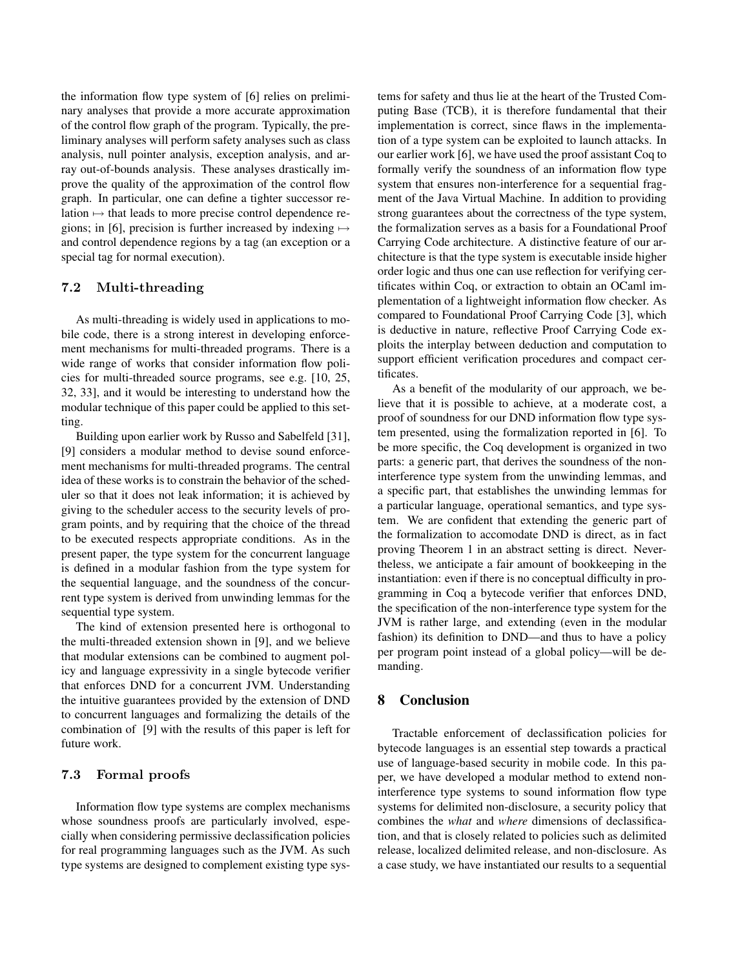the information flow type system of [6] relies on preliminary analyses that provide a more accurate approximation of the control flow graph of the program. Typically, the preliminary analyses will perform safety analyses such as class analysis, null pointer analysis, exception analysis, and array out-of-bounds analysis. These analyses drastically improve the quality of the approximation of the control flow graph. In particular, one can define a tighter successor relation  $\mapsto$  that leads to more precise control dependence regions; in [6], precision is further increased by indexing  $\mapsto$ and control dependence regions by a tag (an exception or a special tag for normal execution).

## 7.2 Multi-threading

As multi-threading is widely used in applications to mobile code, there is a strong interest in developing enforcement mechanisms for multi-threaded programs. There is a wide range of works that consider information flow policies for multi-threaded source programs, see e.g. [10, 25, 32, 33], and it would be interesting to understand how the modular technique of this paper could be applied to this setting.

Building upon earlier work by Russo and Sabelfeld [31], [9] considers a modular method to devise sound enforcement mechanisms for multi-threaded programs. The central idea of these works is to constrain the behavior of the scheduler so that it does not leak information; it is achieved by giving to the scheduler access to the security levels of program points, and by requiring that the choice of the thread to be executed respects appropriate conditions. As in the present paper, the type system for the concurrent language is defined in a modular fashion from the type system for the sequential language, and the soundness of the concurrent type system is derived from unwinding lemmas for the sequential type system.

The kind of extension presented here is orthogonal to the multi-threaded extension shown in [9], and we believe that modular extensions can be combined to augment policy and language expressivity in a single bytecode verifier that enforces DND for a concurrent JVM. Understanding the intuitive guarantees provided by the extension of DND to concurrent languages and formalizing the details of the combination of [9] with the results of this paper is left for future work.

## 7.3 Formal proofs

Information flow type systems are complex mechanisms whose soundness proofs are particularly involved, especially when considering permissive declassification policies for real programming languages such as the JVM. As such type systems are designed to complement existing type systems for safety and thus lie at the heart of the Trusted Computing Base (TCB), it is therefore fundamental that their implementation is correct, since flaws in the implementation of a type system can be exploited to launch attacks. In our earlier work [6], we have used the proof assistant Coq to formally verify the soundness of an information flow type system that ensures non-interference for a sequential fragment of the Java Virtual Machine. In addition to providing strong guarantees about the correctness of the type system, the formalization serves as a basis for a Foundational Proof Carrying Code architecture. A distinctive feature of our architecture is that the type system is executable inside higher order logic and thus one can use reflection for verifying certificates within Coq, or extraction to obtain an OCaml implementation of a lightweight information flow checker. As compared to Foundational Proof Carrying Code [3], which is deductive in nature, reflective Proof Carrying Code exploits the interplay between deduction and computation to support efficient verification procedures and compact certificates.

As a benefit of the modularity of our approach, we believe that it is possible to achieve, at a moderate cost, a proof of soundness for our DND information flow type system presented, using the formalization reported in [6]. To be more specific, the Coq development is organized in two parts: a generic part, that derives the soundness of the noninterference type system from the unwinding lemmas, and a specific part, that establishes the unwinding lemmas for a particular language, operational semantics, and type system. We are confident that extending the generic part of the formalization to accomodate DND is direct, as in fact proving Theorem 1 in an abstract setting is direct. Nevertheless, we anticipate a fair amount of bookkeeping in the instantiation: even if there is no conceptual difficulty in programming in Coq a bytecode verifier that enforces DND, the specification of the non-interference type system for the JVM is rather large, and extending (even in the modular fashion) its definition to DND—and thus to have a policy per program point instead of a global policy—will be demanding.

## 8 Conclusion

Tractable enforcement of declassification policies for bytecode languages is an essential step towards a practical use of language-based security in mobile code. In this paper, we have developed a modular method to extend noninterference type systems to sound information flow type systems for delimited non-disclosure, a security policy that combines the *what* and *where* dimensions of declassification, and that is closely related to policies such as delimited release, localized delimited release, and non-disclosure. As a case study, we have instantiated our results to a sequential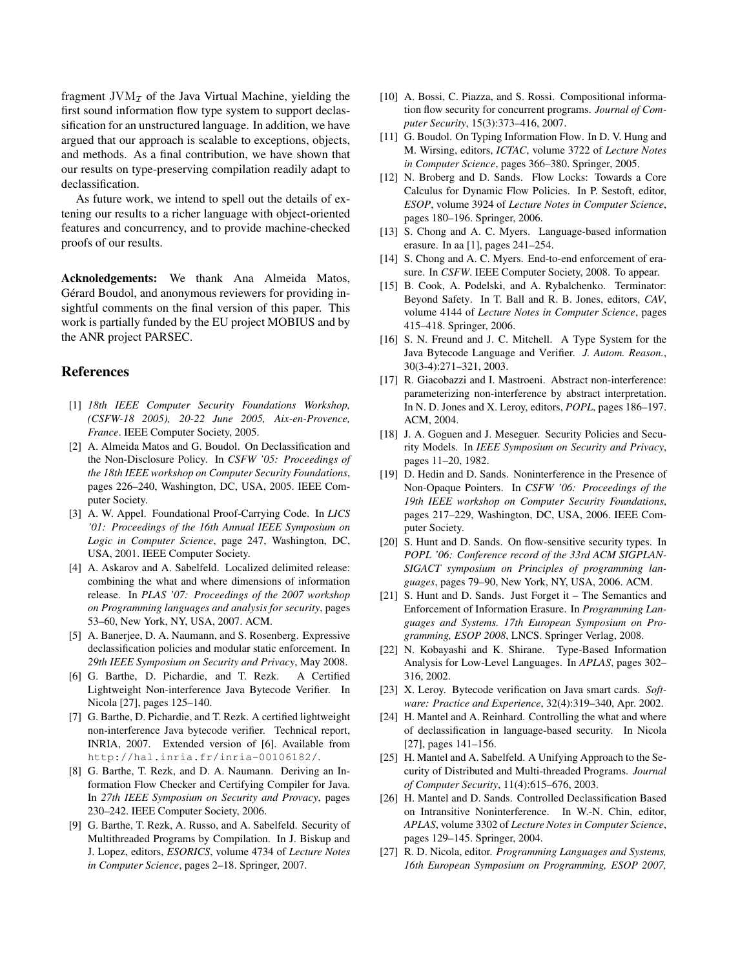fragment JVM $<sub>\tau</sub>$  of the Java Virtual Machine, yielding the</sub> first sound information flow type system to support declassification for an unstructured language. In addition, we have argued that our approach is scalable to exceptions, objects, and methods. As a final contribution, we have shown that our results on type-preserving compilation readily adapt to declassification.

As future work, we intend to spell out the details of extening our results to a richer language with object-oriented features and concurrency, and to provide machine-checked proofs of our results.

Acknoledgements: We thank Ana Almeida Matos, Gérard Boudol, and anonymous reviewers for providing insightful comments on the final version of this paper. This work is partially funded by the EU project MOBIUS and by the ANR project PARSEC.

## References

- [1] *18th IEEE Computer Security Foundations Workshop, (CSFW-18 2005), 20-22 June 2005, Aix-en-Provence, France*. IEEE Computer Society, 2005.
- [2] A. Almeida Matos and G. Boudol. On Declassification and the Non-Disclosure Policy. In *CSFW '05: Proceedings of the 18th IEEE workshop on Computer Security Foundations*, pages 226–240, Washington, DC, USA, 2005. IEEE Computer Society.
- [3] A. W. Appel. Foundational Proof-Carrying Code. In *LICS '01: Proceedings of the 16th Annual IEEE Symposium on Logic in Computer Science*, page 247, Washington, DC, USA, 2001. IEEE Computer Society.
- [4] A. Askarov and A. Sabelfeld. Localized delimited release: combining the what and where dimensions of information release. In *PLAS '07: Proceedings of the 2007 workshop on Programming languages and analysis for security*, pages 53–60, New York, NY, USA, 2007. ACM.
- [5] A. Banerjee, D. A. Naumann, and S. Rosenberg. Expressive declassification policies and modular static enforcement. In *29th IEEE Symposium on Security and Privacy*, May 2008.
- [6] G. Barthe, D. Pichardie, and T. Rezk. A Certified Lightweight Non-interference Java Bytecode Verifier. In Nicola [27], pages 125–140.
- [7] G. Barthe, D. Pichardie, and T. Rezk. A certified lightweight non-interference Java bytecode verifier. Technical report, INRIA, 2007. Extended version of [6]. Available from http://hal.inria.fr/inria-00106182/.
- [8] G. Barthe, T. Rezk, and D. A. Naumann. Deriving an Information Flow Checker and Certifying Compiler for Java. In *27th IEEE Symposium on Security and Provacy*, pages 230–242. IEEE Computer Society, 2006.
- [9] G. Barthe, T. Rezk, A. Russo, and A. Sabelfeld. Security of Multithreaded Programs by Compilation. In J. Biskup and J. Lopez, editors, *ESORICS*, volume 4734 of *Lecture Notes in Computer Science*, pages 2–18. Springer, 2007.
- [10] A. Bossi, C. Piazza, and S. Rossi. Compositional information flow security for concurrent programs. *Journal of Computer Security*, 15(3):373–416, 2007.
- [11] G. Boudol. On Typing Information Flow. In D. V. Hung and M. Wirsing, editors, *ICTAC*, volume 3722 of *Lecture Notes in Computer Science*, pages 366–380. Springer, 2005.
- [12] N. Broberg and D. Sands. Flow Locks: Towards a Core Calculus for Dynamic Flow Policies. In P. Sestoft, editor, *ESOP*, volume 3924 of *Lecture Notes in Computer Science*, pages 180–196. Springer, 2006.
- [13] S. Chong and A. C. Myers. Language-based information erasure. In aa [1], pages 241–254.
- [14] S. Chong and A. C. Myers. End-to-end enforcement of erasure. In *CSFW*. IEEE Computer Society, 2008. To appear.
- [15] B. Cook, A. Podelski, and A. Rybalchenko. Terminator: Beyond Safety. In T. Ball and R. B. Jones, editors, *CAV*, volume 4144 of *Lecture Notes in Computer Science*, pages 415–418. Springer, 2006.
- [16] S. N. Freund and J. C. Mitchell. A Type System for the Java Bytecode Language and Verifier. *J. Autom. Reason.*, 30(3-4):271–321, 2003.
- [17] R. Giacobazzi and I. Mastroeni. Abstract non-interference: parameterizing non-interference by abstract interpretation. In N. D. Jones and X. Leroy, editors, *POPL*, pages 186–197. ACM, 2004.
- [18] J. A. Goguen and J. Meseguer. Security Policies and Security Models. In *IEEE Symposium on Security and Privacy*, pages 11–20, 1982.
- [19] D. Hedin and D. Sands. Noninterference in the Presence of Non-Opaque Pointers. In *CSFW '06: Proceedings of the 19th IEEE workshop on Computer Security Foundations*, pages 217–229, Washington, DC, USA, 2006. IEEE Computer Society.
- [20] S. Hunt and D. Sands. On flow-sensitive security types. In *POPL '06: Conference record of the 33rd ACM SIGPLAN-SIGACT symposium on Principles of programming languages*, pages 79–90, New York, NY, USA, 2006. ACM.
- [21] S. Hunt and D. Sands. Just Forget it The Semantics and Enforcement of Information Erasure. In *Programming Languages and Systems. 17th European Symposium on Programming, ESOP 2008*, LNCS. Springer Verlag, 2008.
- [22] N. Kobayashi and K. Shirane. Type-Based Information Analysis for Low-Level Languages. In *APLAS*, pages 302– 316, 2002.
- [23] X. Leroy. Bytecode verification on Java smart cards. *Software: Practice and Experience*, 32(4):319–340, Apr. 2002.
- [24] H. Mantel and A. Reinhard. Controlling the what and where of declassification in language-based security. In Nicola [27], pages 141–156.
- [25] H. Mantel and A. Sabelfeld. A Unifying Approach to the Security of Distributed and Multi-threaded Programs. *Journal of Computer Security*, 11(4):615–676, 2003.
- [26] H. Mantel and D. Sands. Controlled Declassification Based on Intransitive Noninterference. In W.-N. Chin, editor, *APLAS*, volume 3302 of *Lecture Notes in Computer Science*, pages 129–145. Springer, 2004.
- [27] R. D. Nicola, editor. *Programming Languages and Systems, 16th European Symposium on Programming, ESOP 2007,*